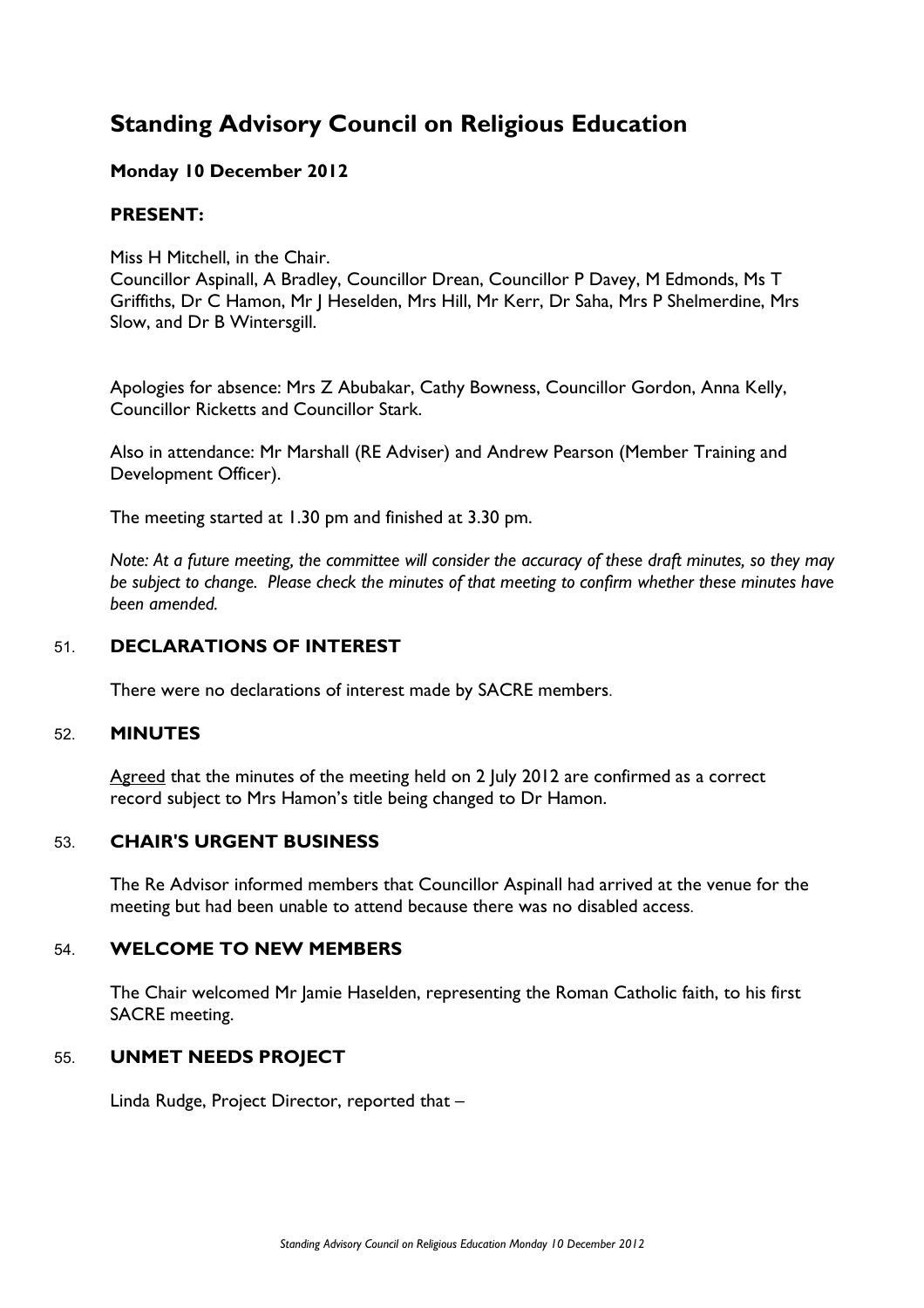# **Standing Advisory Council on Religious Education**

# **Monday 10 December 2012**

## **PRESENT:**

Miss H Mitchell, in the Chair.

Councillor Aspinall, A Bradley, Councillor Drean, Councillor P Davey, M Edmonds, Ms T Griffiths, Dr C Hamon, Mr J Heselden, Mrs Hill, Mr Kerr, Dr Saha, Mrs P Shelmerdine, Mrs Slow, and Dr B Wintersgill.

Apologies for absence: Mrs Z Abubakar, Cathy Bowness, Councillor Gordon, Anna Kelly, Councillor Ricketts and Councillor Stark.

Also in attendance: Mr Marshall (RE Adviser) and Andrew Pearson (Member Training and Development Officer).

The meeting started at 1.30 pm and finished at 3.30 pm.

*Note: At a future meeting, the committee will consider the accuracy of these draft minutes, so they may be subject to change. Please check the minutes of that meeting to confirm whether these minutes have been amended.*

# 51. **DECLARATIONS OF INTEREST**

There were no declarations of interest made by SACRE members.

#### 52. **MINUTES**

Agreed that the minutes of the meeting held on 2 July 2012 are confirmed as a correct record subject to Mrs Hamon's title being changed to Dr Hamon.

## 53. **CHAIR'S URGENT BUSINESS**

The Re Advisor informed members that Councillor Aspinall had arrived at the venue for the meeting but had been unable to attend because there was no disabled access.

## 54. **WELCOME TO NEW MEMBERS**

The Chair welcomed Mr Jamie Haselden, representing the Roman Catholic faith, to his first SACRE meeting.

## 55. **UNMET NEEDS PROJECT**

Linda Rudge, Project Director, reported that –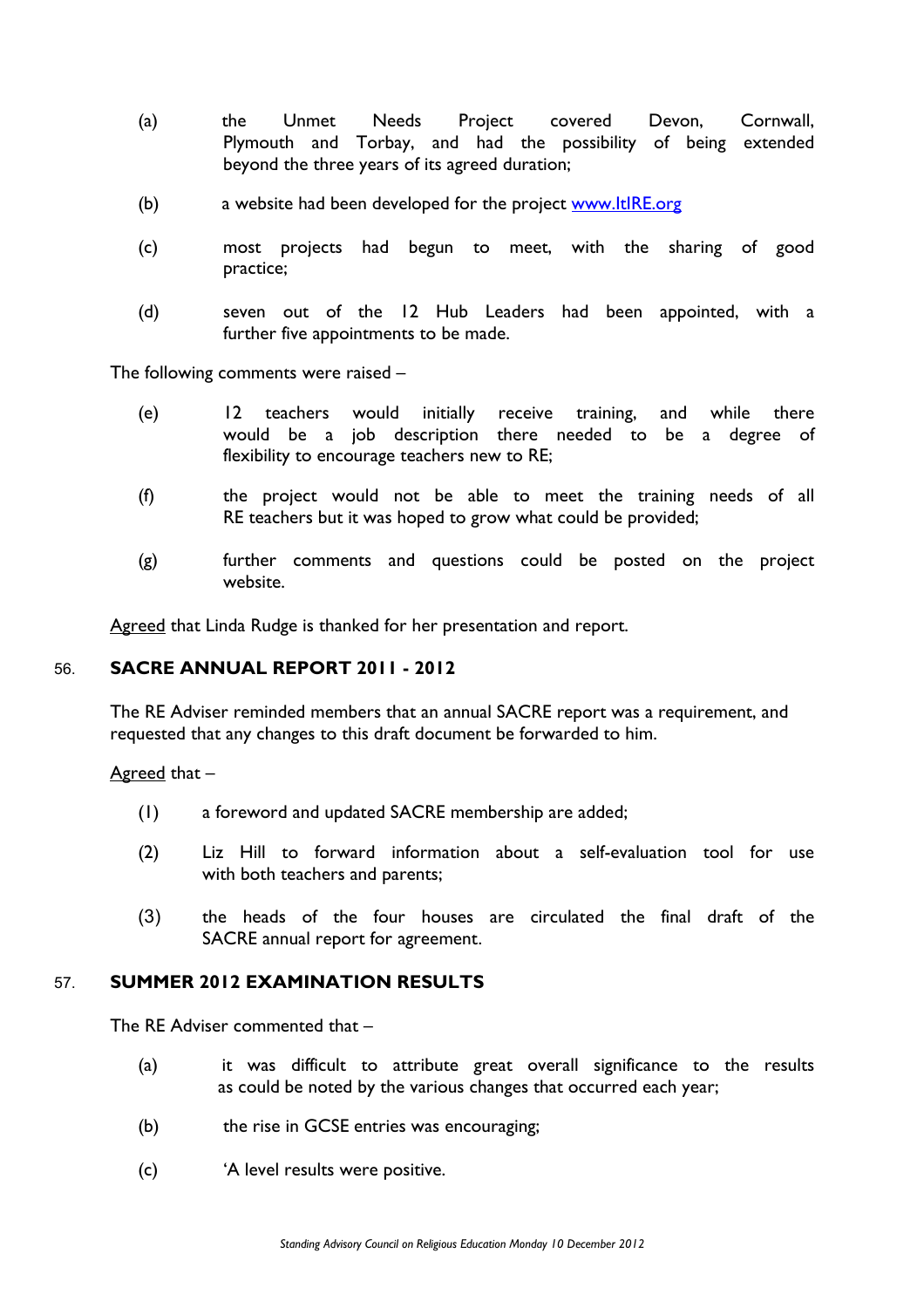- (a) the Unmet Needs Project covered Devon, Cornwall, Plymouth and Torbay, and had the possibility of being extended beyond the three years of its agreed duration;
- (b) a website had been developed for the project www.ItIRE.org
- (c) most projects had begun to meet, with the sharing of good practice;
- (d) seven out of the 12 Hub Leaders had been appointed, with a further five appointments to be made.

The following comments were raised –

- (e) 12 teachers would initially receive training, and while there would be a job description there needed to be a degree of flexibility to encourage teachers new to RE;
- (f) the project would not be able to meet the training needs of all RE teachers but it was hoped to grow what could be provided;
- (g) further comments and questions could be posted on the project website.

Agreed that Linda Rudge is thanked for her presentation and report.

## 56. **SACRE ANNUAL REPORT 2011 - 2012**

The RE Adviser reminded members that an annual SACRE report was a requirement, and requested that any changes to this draft document be forwarded to him.

Agreed that –

- (1) a foreword and updated SACRE membership are added;
- (2) Liz Hill to forward information about a self-evaluation tool for use with both teachers and parents;
- (3) the heads of the four houses are circulated the final draft of the SACRE annual report for agreement.

## 57. **SUMMER 2012 EXAMINATION RESULTS**

The RE Adviser commented that –

- (a) it was difficult to attribute great overall significance to the results as could be noted by the various changes that occurred each year;
- (b) the rise in GCSE entries was encouraging;
- (c) 'A level results were positive.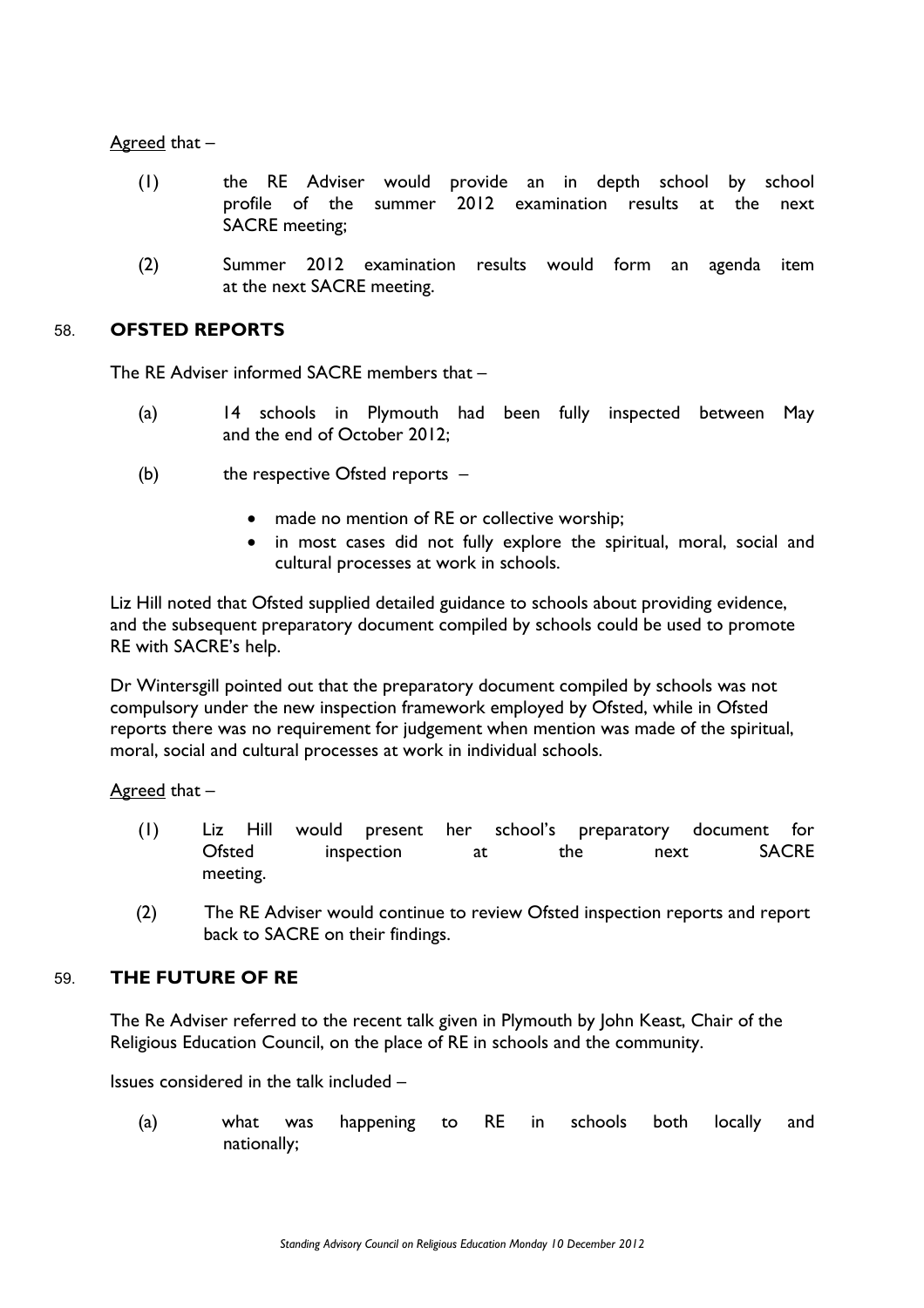Agreed that –

- (1) the RE Adviser would provide an in depth school by school profile of the summer 2012 examination results at the next SACRE meeting;
- (2) Summer 2012 examination results would form an agenda item at the next SACRE meeting.

## 58. **OFSTED REPORTS**

The RE Adviser informed SACRE members that –

- (a) 14 schools in Plymouth had been fully inspected between May and the end of October 2012;
- (b) the respective Ofsted reports  $-$ 
	- made no mention of RE or collective worship;
	- in most cases did not fully explore the spiritual, moral, social and cultural processes at work in schools.

Liz Hill noted that Ofsted supplied detailed guidance to schools about providing evidence, and the subsequent preparatory document compiled by schools could be used to promote RE with SACRE's help.

Dr Wintersgill pointed out that the preparatory document compiled by schools was not compulsory under the new inspection framework employed by Ofsted, while in Ofsted reports there was no requirement for judgement when mention was made of the spiritual, moral, social and cultural processes at work in individual schools.

Agreed that –

- (1) Liz Hill would present her school's preparatory document for Ofsted inspection at the next SACRE meeting.
- (2) The RE Adviser would continue to review Ofsted inspection reports and report back to SACRE on their findings.

## 59. **THE FUTURE OF RE**

The Re Adviser referred to the recent talk given in Plymouth by John Keast, Chair of the Religious Education Council, on the place of RE in schools and the community.

Issues considered in the talk included –

(a) what was happening to RE in schools both locally and nationally;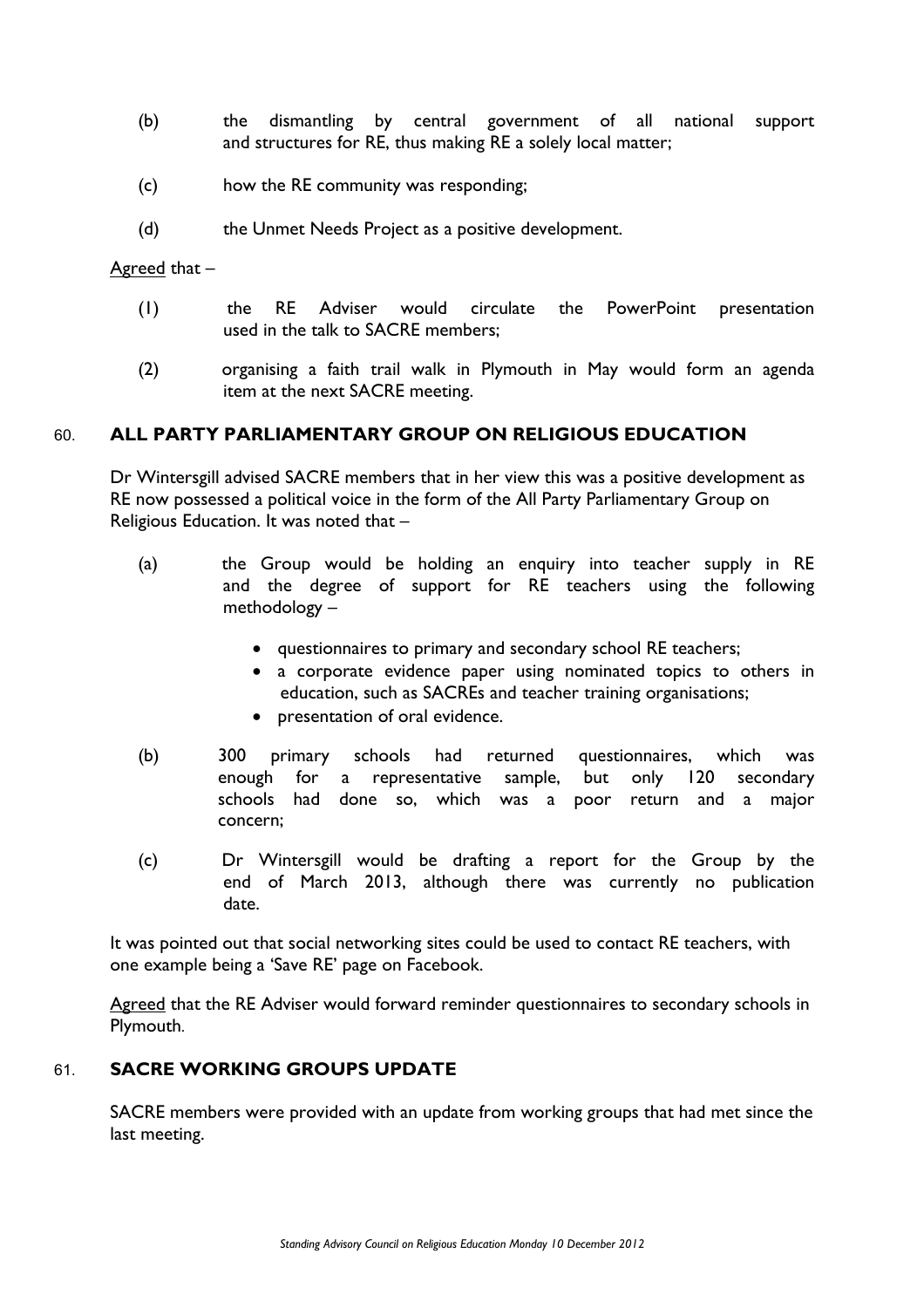- (b) the dismantling by central government of all national support and structures for RE, thus making RE a solely local matter;
- (c) how the RE community was responding;
- (d) the Unmet Needs Project as a positive development.

#### Agreed that –

- (1) the RE Adviser would circulate the PowerPoint presentation used in the talk to SACRE members;
- (2) organising a faith trail walk in Plymouth in May would form an agenda item at the next SACRE meeting.

## 60. **ALL PARTY PARLIAMENTARY GROUP ON RELIGIOUS EDUCATION**

Dr Wintersgill advised SACRE members that in her view this was a positive development as RE now possessed a political voice in the form of the All Party Parliamentary Group on Religious Education. It was noted that –

- (a) the Group would be holding an enquiry into teacher supply in RE and the degree of support for RE teachers using the following methodology –
	- questionnaires to primary and secondary school RE teachers;
	- a corporate evidence paper using nominated topics to others in education, such as SACREs and teacher training organisations;
	- presentation of oral evidence.
- (b) 300 primary schools had returned questionnaires, which was enough for a representative sample, but only 120 secondary schools had done so, which was a poor return and a major concern;
- (c) Dr Wintersgill would be drafting a report for the Group by the end of March 2013, although there was currently no publication date.

It was pointed out that social networking sites could be used to contact RE teachers, with one example being a 'Save RE' page on Facebook.

Agreed that the RE Adviser would forward reminder questionnaires to secondary schools in Plymouth.

## 61. **SACRE WORKING GROUPS UPDATE**

SACRE members were provided with an update from working groups that had met since the last meeting.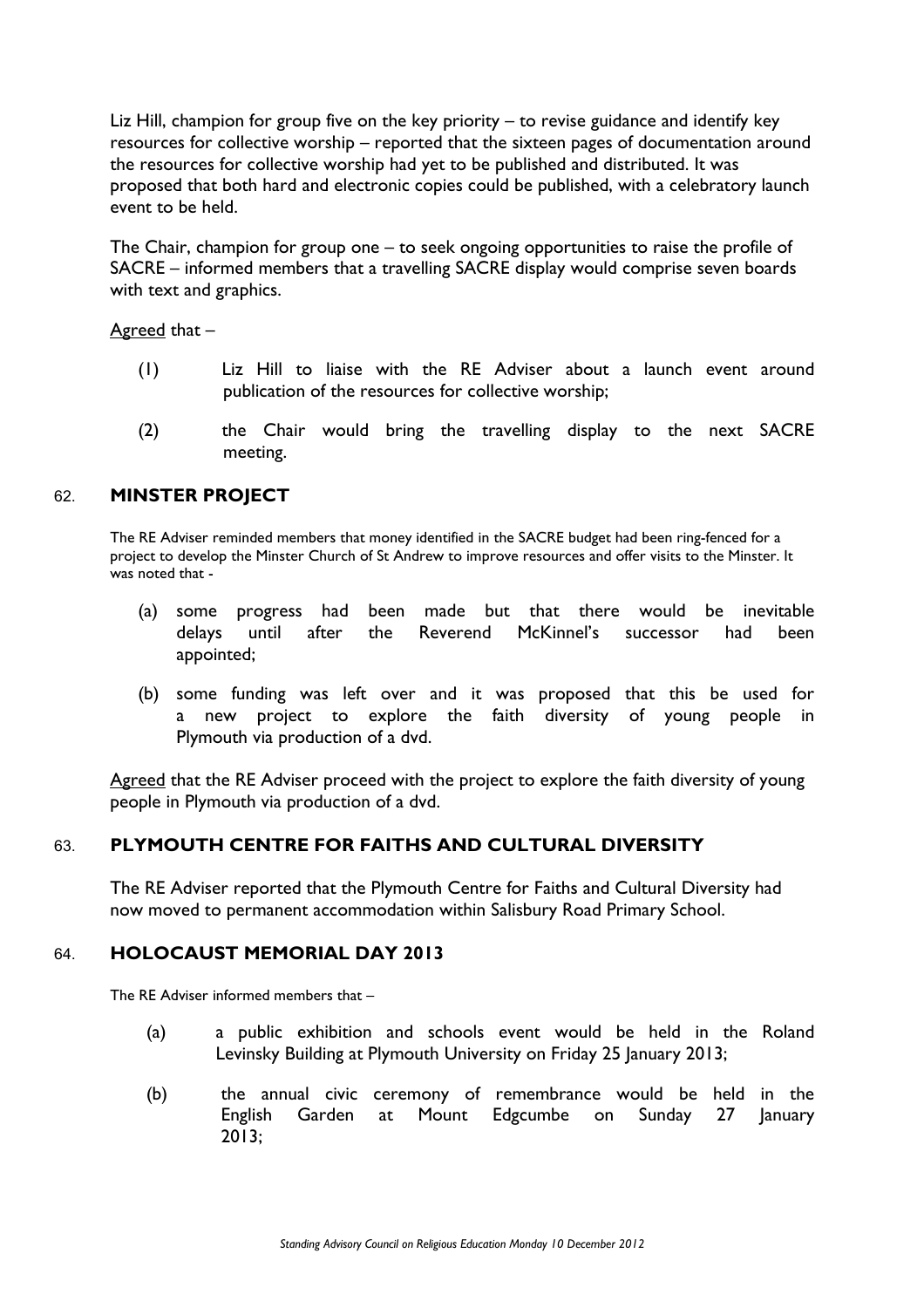Liz Hill, champion for group five on the key priority – to revise guidance and identify key resources for collective worship – reported that the sixteen pages of documentation around the resources for collective worship had yet to be published and distributed. It was proposed that both hard and electronic copies could be published, with a celebratory launch event to be held.

The Chair, champion for group one – to seek ongoing opportunities to raise the profile of SACRE – informed members that a travelling SACRE display would comprise seven boards with text and graphics.

Agreed that –

- (1) Liz Hill to liaise with the RE Adviser about a launch event around publication of the resources for collective worship;
- (2) the Chair would bring the travelling display to the next SACRE meeting.

## 62. **MINSTER PROJECT**

The RE Adviser reminded members that money identified in the SACRE budget had been ring-fenced for a project to develop the Minster Church of St Andrew to improve resources and offer visits to the Minster. It was noted that -

- (a) some progress had been made but that there would be inevitable delays until after the Reverend McKinnel's successor had been appointed;
- (b) some funding was left over and it was proposed that this be used for a new project to explore the faith diversity of young people in Plymouth via production of a dvd.

Agreed that the RE Adviser proceed with the project to explore the faith diversity of young people in Plymouth via production of a dvd.

## 63. **PLYMOUTH CENTRE FOR FAITHS AND CULTURAL DIVERSITY**

The RE Adviser reported that the Plymouth Centre for Faiths and Cultural Diversity had now moved to permanent accommodation within Salisbury Road Primary School.

#### 64. **HOLOCAUST MEMORIAL DAY 2013**

The RE Adviser informed members that –

- (a) a public exhibition and schools event would be held in the Roland Levinsky Building at Plymouth University on Friday 25 January 2013;
- (b) the annual civic ceremony of remembrance would be held in the English Garden at Mount Edgcumbe on Sunday 27 January 2013;